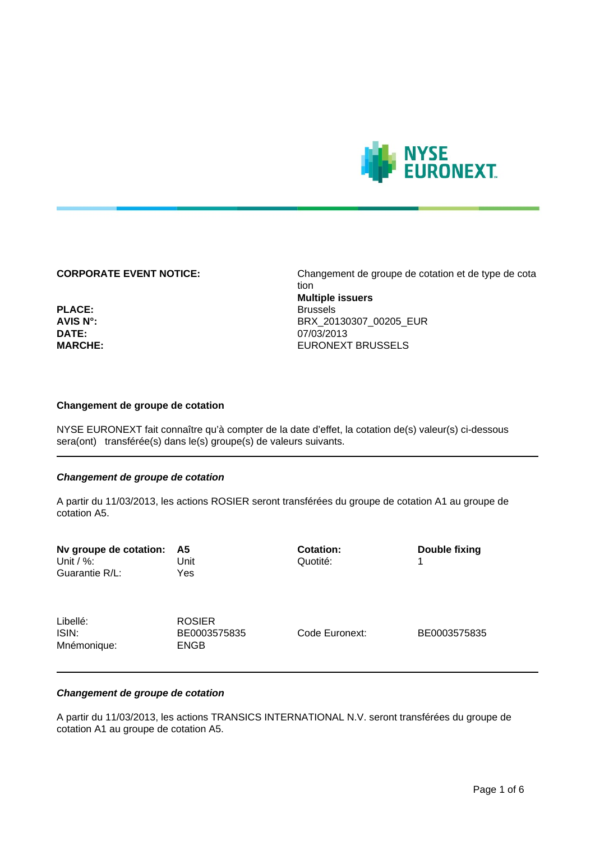

**CORPORATE EVENT NOTICE:** Changement de groupe de cotation et de type de cota tion **Multiple issuers** PLACE: Brussels **AVIS N°:** BRX\_20130307\_00205\_EUR **DATE:** 07/03/2013 **MARCHE:** EURONEXT BRUSSELS

### **Changement de groupe de cotation**

NYSE EURONEXT fait connaître qu'à compter de la date d'effet, la cotation de(s) valeur(s) ci-dessous sera(ont) transférée(s) dans le(s) groupe(s) de valeurs suivants.

# **Changement de groupe de cotation**

A partir du 11/03/2013, les actions ROSIER seront transférées du groupe de cotation A1 au groupe de cotation A5.

| Nv groupe de cotation:<br>Unit / $\%$ :<br>Guarantie R/L: | - A5<br>Unit<br>Yes                          | <b>Cotation:</b><br>Quotité: | Double fixing<br>1 |
|-----------------------------------------------------------|----------------------------------------------|------------------------------|--------------------|
| Libellé:<br>ISIN:<br>Mnémonique:                          | <b>ROSIER</b><br>BE0003575835<br><b>ENGB</b> | Code Euronext:               | BE0003575835       |

# **Changement de groupe de cotation**

A partir du 11/03/2013, les actions TRANSICS INTERNATIONAL N.V. seront transférées du groupe de cotation A1 au groupe de cotation A5.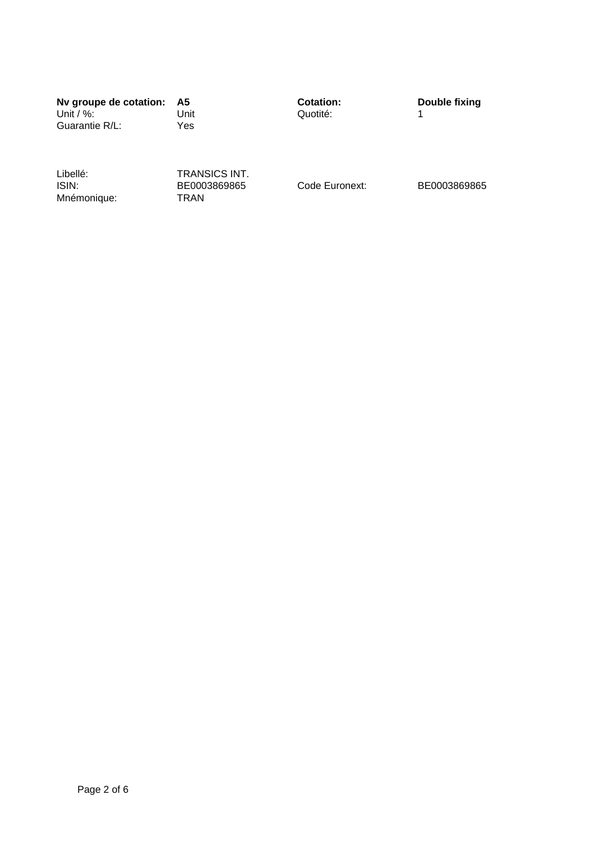**Nv groupe de cotation: A5 Cotation: Double fixing** Guarantie R/L:

Unit Quotité: 1<br>Yes

Libellé: TRANSICS INT.<br>ISIN: BE0003869865 Mnémonique:

BE0003869865 Code Euronext: BE0003869865<br>
TRAN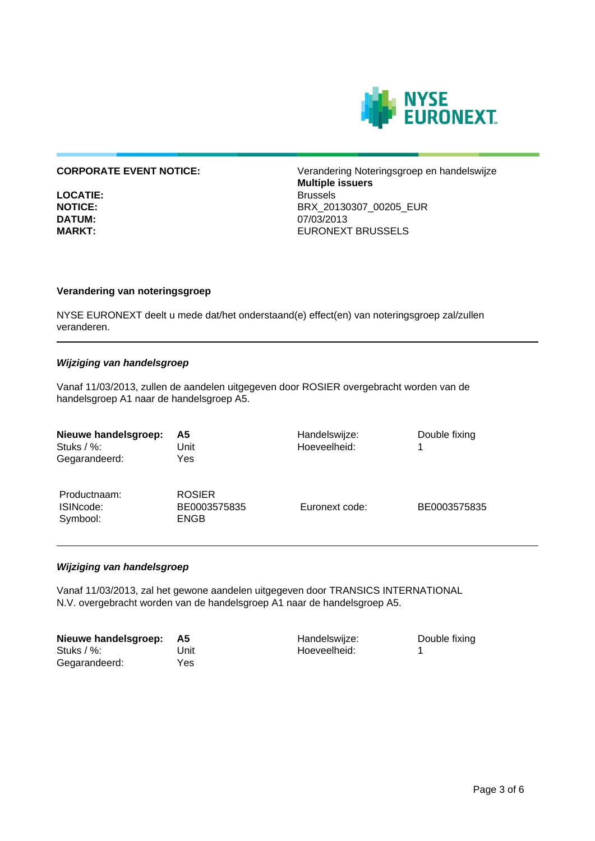

**LOCATIE:**<br>NOTICE:

**CORPORATE EVENT NOTICE:** Verandering Noteringsgroep en handelswijze **Multiple issuers NOTICE:** BRX\_20130307\_00205\_EUR **DATUM:** 07/03/2013 **MARKT:** EURONEXT BRUSSELS

# **Verandering van noteringsgroep**

NYSE EURONEXT deelt u mede dat/het onderstaand(e) effect(en) van noteringsgroep zal/zullen veranderen.

# **Wijziging van handelsgroep**

Vanaf 11/03/2013, zullen de aandelen uitgegeven door ROSIER overgebracht worden van de handelsgroep A1 naar de handelsgroep A5.

| Nieuwe handelsgroep:<br>Stuks $/$ %:<br>Gegarandeerd: | Α5<br>Unit<br>Yes                            | Handelswijze:<br>Hoeveelheid: | Double fixing |
|-------------------------------------------------------|----------------------------------------------|-------------------------------|---------------|
| Productnaam:<br>ISINcode:<br>Symbool:                 | <b>ROSIER</b><br>BE0003575835<br><b>ENGB</b> | Euronext code:                | BE0003575835  |

# **Wijziging van handelsgroep**

Vanaf 11/03/2013, zal het gewone aandelen uitgegeven door TRANSICS INTERNATIONAL N.V. overgebracht worden van de handelsgroep A1 naar de handelsgroep A5.

| Nieuwe handelsgroep: | - A5 | Handelswijze: | Double fixing |
|----------------------|------|---------------|---------------|
| Stuks $/$ %:         | Unit | Hoeveelheid:  |               |
| Gegarandeerd:        | Yes  |               |               |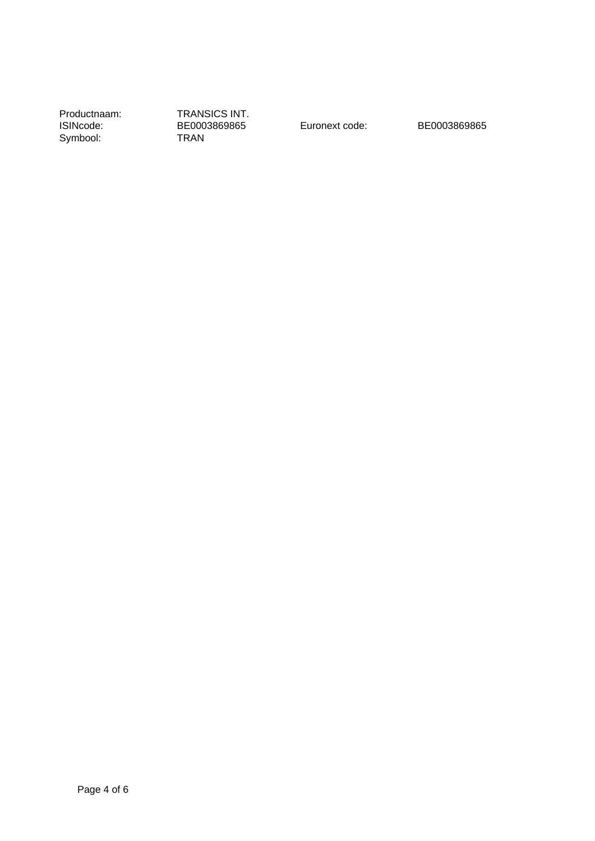Productnaam: TRANSICS INT.<br>ISINcode: BE0003869865 Symbool:

BE0003869865 Euronext code: BE0003869865<br>
TRAN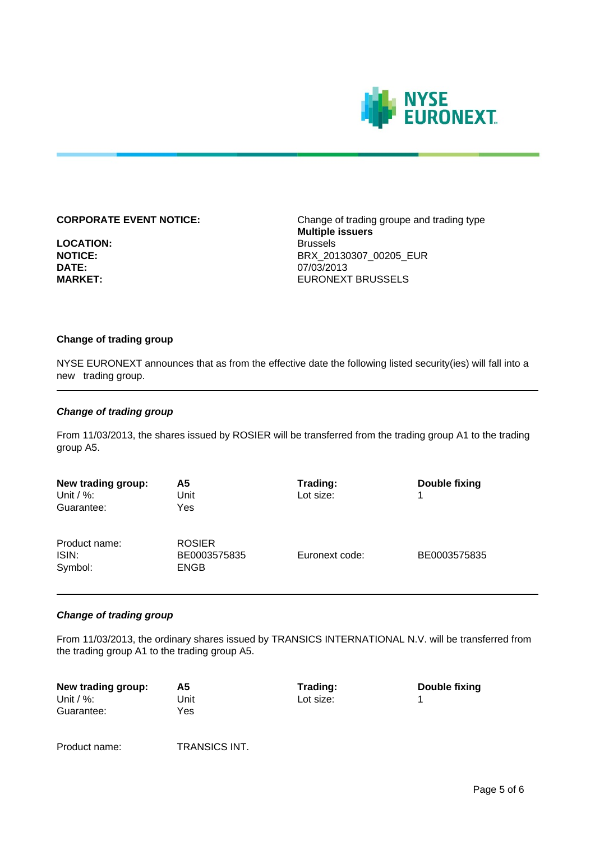

**LOCATION:** Brussels **DATE:** 07/03/2013<br> **MARKET:** CONSISTENT DEVICES

**CORPORATE EVENT NOTICE:** Change of trading groupe and trading type **Multiple issuers NOTICE:** BRX\_20130307\_00205\_EUR **EURONEXT BRUSSELS** 

# **Change of trading group**

NYSE EURONEXT announces that as from the effective date the following listed security(ies) will fall into a new trading group.

# **Change of trading group**

From 11/03/2013, the shares issued by ROSIER will be transferred from the trading group A1 to the trading group A5.

| New trading group:<br>Unit / $\%$ :<br>Guarantee: | А5<br>Unit<br>Yes                            | Trading:<br>Lot size: | Double fixing<br>1 |
|---------------------------------------------------|----------------------------------------------|-----------------------|--------------------|
| Product name:<br>ISIN:<br>Symbol:                 | <b>ROSIER</b><br>BE0003575835<br><b>ENGB</b> | Euronext code:        | BE0003575835       |

# **Change of trading group**

From 11/03/2013, the ordinary shares issued by TRANSICS INTERNATIONAL N.V. will be transferred from the trading group A1 to the trading group A5.

| New trading group: | Α5   | Trading:  | Double fixing |
|--------------------|------|-----------|---------------|
| Unit / $\%$ :      | Unit | Lot size: |               |
| Guarantee:         | Yes  |           |               |
|                    |      |           |               |

Product name: TRANSICS INT.